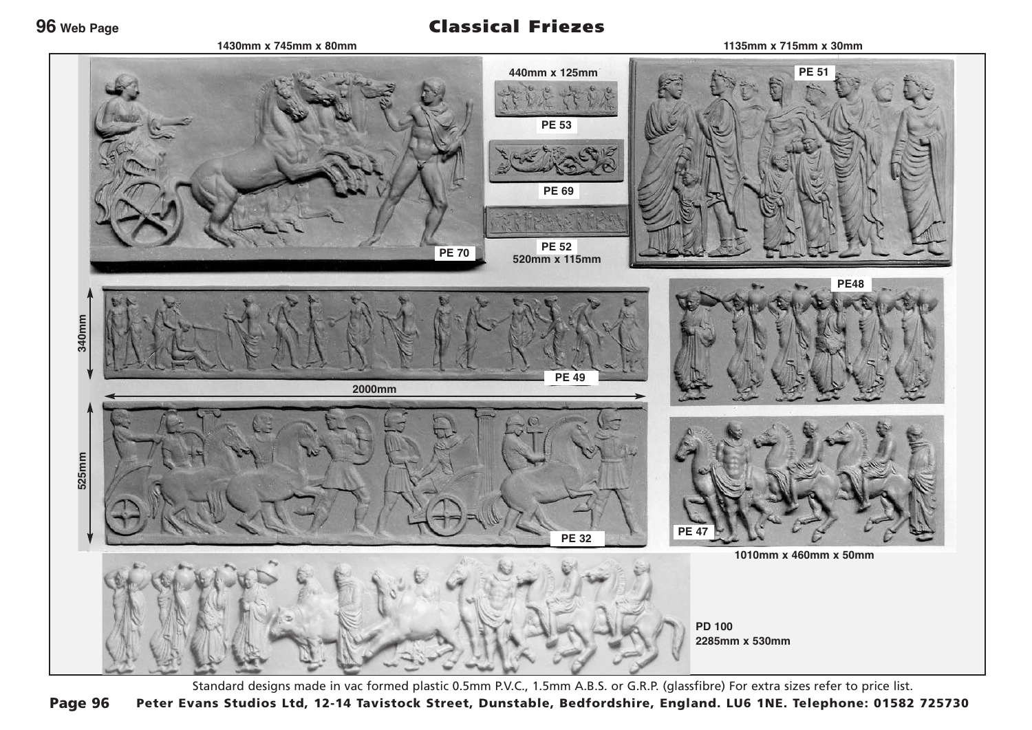**96 Web Page**

**1430mm x 745mm x 80mm**

## Classical Friezes

**1135mm x 715mm x 30mm**



Standard designs made in vac formed plastic 0.5mm P.V.C., 1.5mm A.B.S. or G.R.P. (glassfibre) For extra sizes refer to price list. Peter Evans Studios Ltd, 12-14 Tavistock Street, Dunstable, Bedfordshire, England. LU6 1NE. Telephone: 01582 725730 Page 96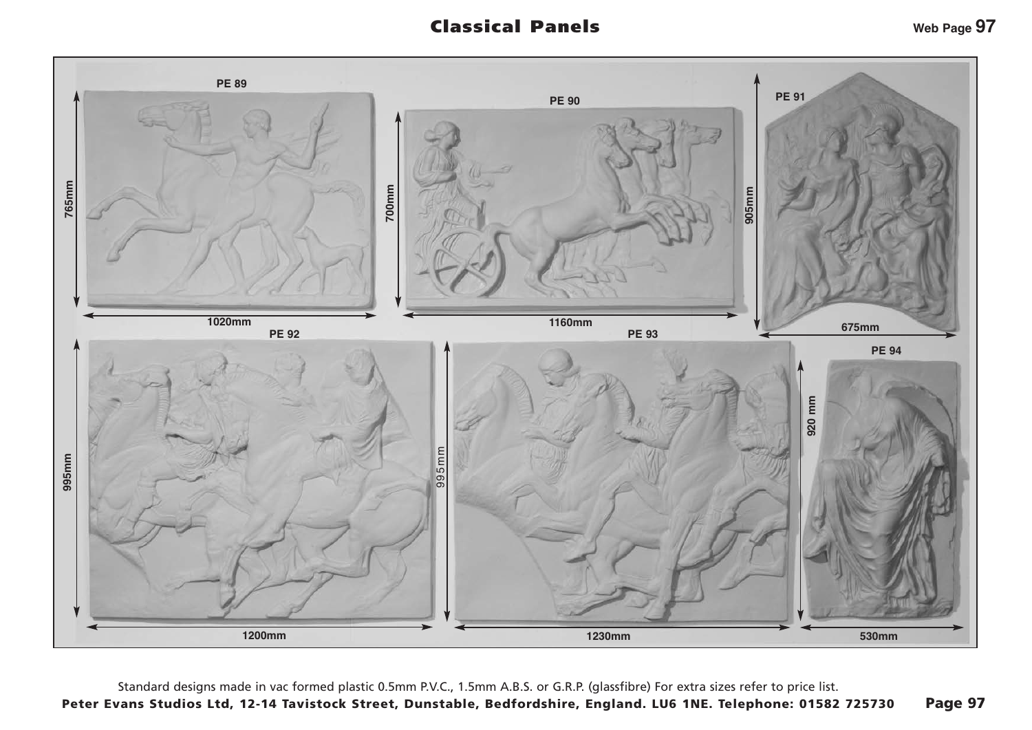## Classical Panels



Standard designs made in vac formed plastic 0.5mm P.V.C., 1.5mm A.B.S. or G.R.P. (glassfibre) For extra sizes refer to price list. Peter Evans Studios Ltd, 12-14 Tavistock Street, Dunstable, Bedfordshire, England. LU6 1NE. Telephone: 01582 725730 Page 97